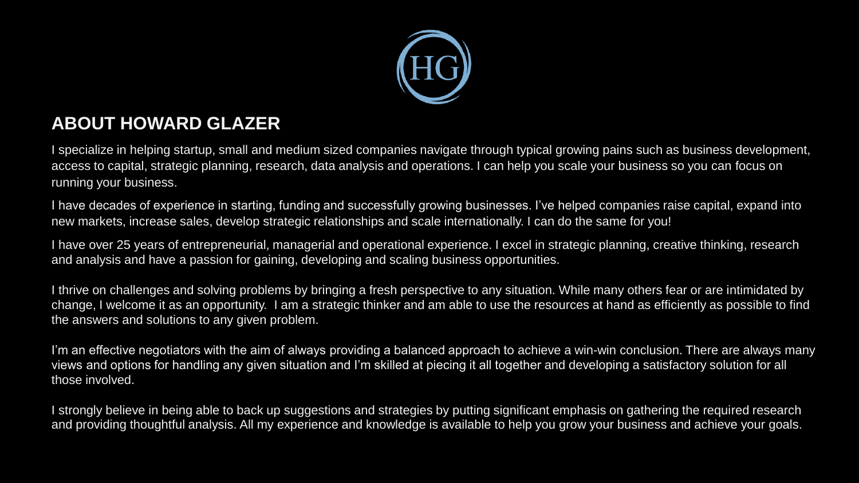

### **ABOUT HOWARD GLAZER**

I specialize in helping startup, small and medium sized companies navigate through typical growing pains such as business development, access to capital, strategic planning, research, data analysis and operations. I can help you scale your business so you can focus on running your business.

I have decades of experience in starting, funding and successfully growing businesses. I've helped companies raise capital, expand into new markets, increase sales, develop strategic relationships and scale internationally. I can do the same for you!

I have over 25 years of entrepreneurial, managerial and operational experience. I excel in strategic planning, creative thinking, research and analysis and have a passion for gaining, developing and scaling business opportunities.

I thrive on challenges and solving problems by bringing a fresh perspective to any situation. While many others fear or are intimidated by change, I welcome it as an opportunity. I am a strategic thinker and am able to use the resources at hand as efficiently as possible to find the answers and solutions to any given problem.

I'm an effective negotiators with the aim of always providing a balanced approach to achieve a win-win conclusion. There are always many views and options for handling any given situation and I'm skilled at piecing it all together and developing a satisfactory solution for all those involved.

I strongly believe in being able to back up suggestions and strategies by putting significant emphasis on gathering the required research and providing thoughtful analysis. All my experience and knowledge is available to help you grow your business and achieve your goals.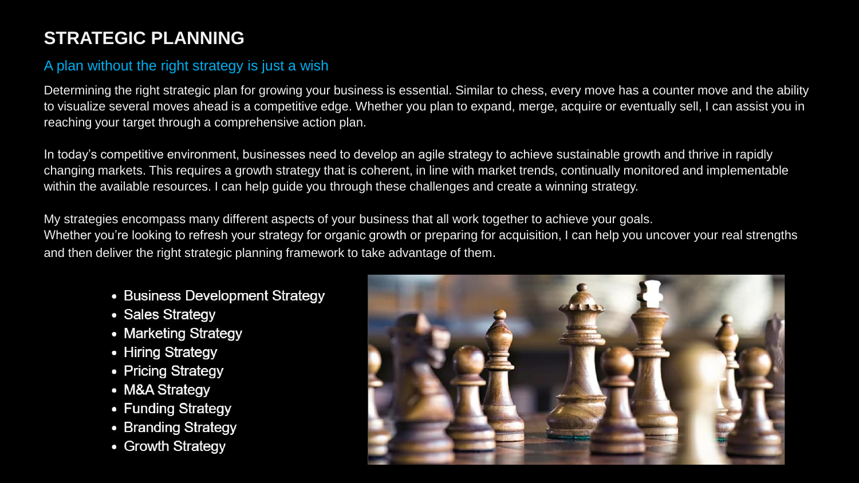### **STRATEGIC PLANNING**

#### A plan without the right strategy is just a wish

Determining the right strategic plan for growing your business is essential. Similar to chess, every move has a counter move and the ability to visualize several moves ahead is a competitive edge. Whether you plan to expand, merge, acquire or eventually sell, I can assist you in reaching your target through a comprehensive action plan.

In today's competitive environment, businesses need to develop an agile strategy to achieve sustainable growth and thrive in rapidly changing markets. This requires a growth strategy that is coherent, in line with market trends, continually monitored and implementable within the available resources. I can help guide you through these challenges and create a winning strategy.

My strategies encompass many different aspects of your business that all work together to achieve your goals. Whether you're looking to refresh your strategy for organic growth or preparing for acquisition, I can help you uncover your real strengths and then deliver the right strategic planning framework to take advantage of them.

- Business Development Strategy
- Sales Strategy
- Marketing Strategy
- Hiring Strategy
- Pricing Strategy
- M&A Strategy
- Funding Strategy
- Branding Strategy
- Growth Strategy

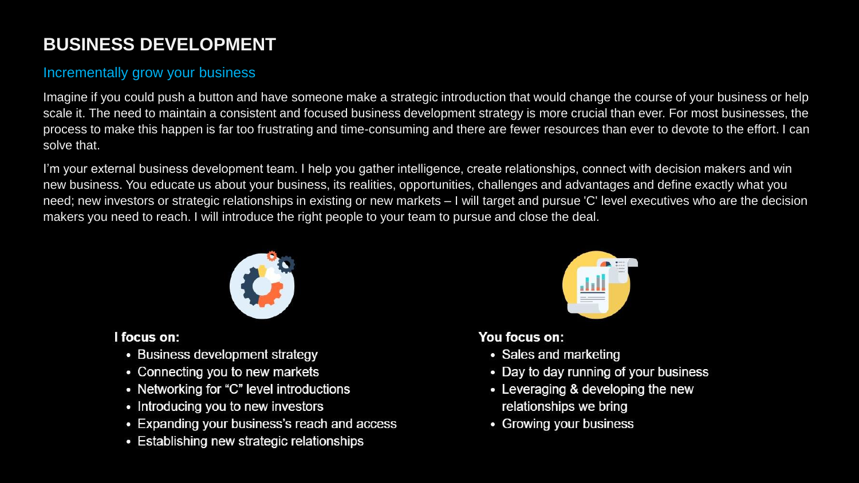## **BUSINESS DEVELOPMENT**

#### Incrementally grow your business

Imagine if you could push a button and have someone make a strategic introduction that would change the course of your business or help scale it. The need to maintain a consistent and focused business development strategy is more crucial than ever. For most businesses, the process to make this happen is far too frustrating and time-consuming and there are fewer resources than ever to devote to the effort. I can solve that.

I'm your external business development team. I help you gather intelligence, create relationships, connect with decision makers and win new business. You educate us about your business, its realities, opportunities, challenges and advantages and define exactly what you need; new investors or strategic relationships in existing or new markets – I will target and pursue 'C' level executives who are the decision makers you need to reach. I will introduce the right people to your team to pursue and close the deal.



#### I focus on:

- Business development strategy
- Connecting you to new markets
- Networking for "C" level introductions
- Introducing you to new investors
- Expanding your business's reach and access
- Establishing new strategic relationships



#### You focus on:

- Sales and marketing
- Day to day running of your business
- Leveraging & developing the new relationships we bring
- Growing your business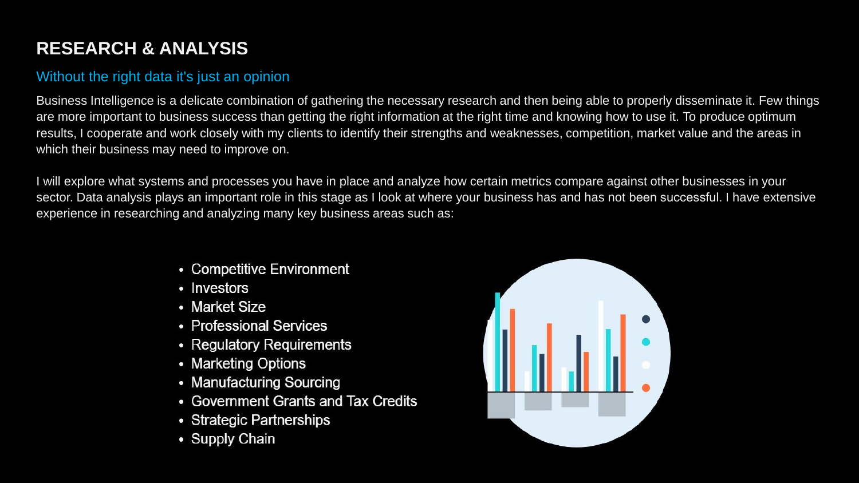# **RESEARCH & ANALYSIS**

#### Without the right data it's just an opinion

Business Intelligence is a delicate combination of gathering the necessary research and then being able to properly disseminate it. Few things are more important to business success than getting the right information at the right time and knowing how to use it. To produce optimum results, I cooperate and work closely with my clients to identify their strengths and weaknesses, competition, market value and the areas in which their business may need to improve on.

I will explore what systems and processes you have in place and analyze how certain metrics compare against other businesses in your sector. Data analysis plays an important role in this stage as I look at where your business has and has not been successful. I have extensive experience in researching and analyzing many key business areas such as:

- Competitive Environment
- Investors
- Market Size
- Professional Services
- Regulatory Requirements
- Marketing Options
- Manufacturing Sourcing
- Government Grants and Tax Credits
- Strategic Partnerships
- Supply Chain